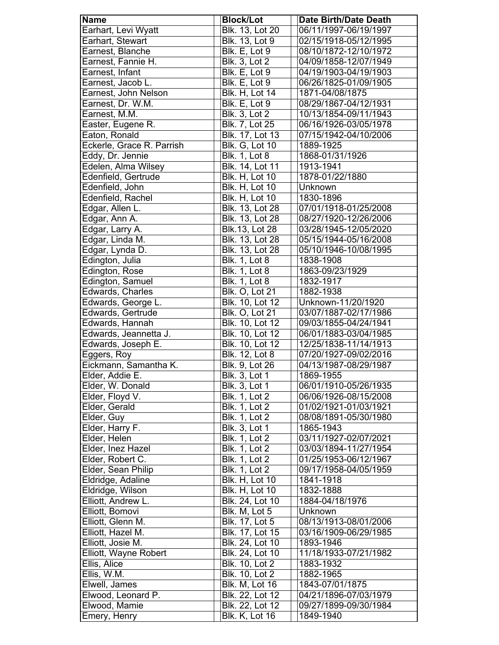| <b>Name</b>               | <b>Block/Lot</b>       | <b>Date Birth/Date Death</b> |
|---------------------------|------------------------|------------------------------|
| Earhart, Levi Wyatt       | <b>Blk. 13, Lot 20</b> | 06/11/1997-06/19/1997        |
| Earhart, Stewart          | <b>Blk. 13, Lot 9</b>  | 02/15/1918-05/12/1995        |
| Earnest, Blanche          | Blk. E, Lot 9          | 08/10/1872-12/10/1972        |
| Earnest, Fannie H.        | <b>Blk. 3, Lot 2</b>   | 04/09/1858-12/07/1949        |
| Earnest, Infant           | Blk. E, Lot 9          | 04/19/1903-04/19/1903        |
| Earnest, Jacob L.         | Blk. E, Lot 9          | 06/26/1825-01/09/1905        |
| Earnest, John Nelson      | Blk. H, Lot 14         | 1871-04/08/1875              |
| Earnest, Dr. W.M.         | Blk. E, Lot 9          | 08/29/1867-04/12/1931        |
| Earnest, M.M.             | <b>Blk. 3, Lot 2</b>   | 10/13/1854-09/11/1943        |
| Easter, Eugene R.         | Blk. 7, Lot 25         | 06/16/1926-03/05/1978        |
| Eaton, Ronald             | Blk. 17, Lot 13        | 07/15/1942-04/10/2006        |
| Eckerle, Grace R. Parrish | <b>Blk. G, Lot 10</b>  | 1889-1925                    |
| Eddy, Dr. Jennie          | <b>Blk. 1, Lot 8</b>   | 1868-01/31/1926              |
| Edelen, Alma Wilsey       | Blk. 14, Lot 11        | 1913-1941                    |
| Edenfield, Gertrude       | <b>Blk. H, Lot 10</b>  | 1878-01/22/1880              |
| Edenfield, John           | <b>Blk. H, Lot 10</b>  | Unknown                      |
| Edenfield, Rachel         | <b>Blk. H, Lot 10</b>  | 1830-1896                    |
| Edgar, Allen L.           | Blk. 13, Lot 28        | 07/01/1918-01/25/2008        |
| Edgar, Ann A.             | Blk. 13, Lot 28        | 08/27/1920-12/26/2006        |
| Edgar, Larry A.           | Blk.13, Lot 28         | 03/28/1945-12/05/2020        |
| Edgar, Linda M.           | Blk. 13, Lot 28        | 05/15/1944-05/16/2008        |
| Edgar, Lynda D.           | Blk. 13, Lot 28        | 05/10/1946-10/08/1995        |
| Edington, Julia           | <b>Blk. 1, Lot 8</b>   | 1838-1908                    |
| Edington, Rose            | <b>Blk. 1, Lot 8</b>   | 1863-09/23/1929              |
| Edington, Samuel          | <b>Blk. 1, Lot 8</b>   | 1832-1917                    |
| Edwards, Charles          | <b>Blk. O, Lot 21</b>  | 1882-1938                    |
| Edwards, George L.        | Blk. 10, Lot 12        | Unknown-11/20/1920           |
| Edwards, Gertrude         | Blk. O, Lot 21         | 03/07/1887-02/17/1986        |
| Edwards, Hannah           | Blk. 10, Lot 12        | 09/03/1855-04/24/1941        |
| Edwards, Jeannetta J.     | Blk. 10, Lot 12        | 06/01/1883-03/04/1985        |
| Edwards, Joseph E.        | Blk. 10, Lot 12        | 12/25/1838-11/14/1913        |
| Eggers, Roy               | <b>Blk. 12, Lot 8</b>  | 07/20/1927-09/02/2016        |
| Eickmann, Samantha K.     | Blk. 9, Lot 26         | 04/13/1987-08/29/1987        |
| Elder, Addie E.           | <b>Blk. 3, Lot 1</b>   | 1869-1955                    |
| Elder, W. Donald          | <b>Blk. 3, Lot 1</b>   | 06/01/1910-05/26/1935        |
| Elder, Floyd V.           | <b>Blk. 1, Lot 2</b>   | 06/06/1926-08/15/2008        |
| Elder, Gerald             | <b>Blk. 1, Lot 2</b>   | 01/02/1921-01/03/1921        |
| Elder, Guy                | <b>Blk. 1, Lot 2</b>   | 08/08/1891-05/30/1980        |
| Elder, Harry F.           | <b>Blk. 3, Lot 1</b>   | 1865-1943                    |
| Elder, Helen              | <b>Blk. 1, Lot 2</b>   | 03/11/1927-02/07/2021        |
| Elder, Inez Hazel         | <b>Blk. 1, Lot 2</b>   | 03/03/1894-11/27/1954        |
| Elder, Robert C.          | <b>Blk. 1, Lot 2</b>   | 01/25/1953-06/12/1967        |
| Elder, Sean Philip        | <b>Blk. 1, Lot 2</b>   | 09/17/1958-04/05/1959        |
| Eldridge, Adaline         | <b>Blk. H, Lot 10</b>  | 1841-1918                    |
| Eldridge, Wilson          | <b>Blk. H, Lot 10</b>  | 1832-1888                    |
| Elliott, Andrew L.        | Blk. 24, Lot 10        | 1884-04/18/1976              |
| Elliott, Bomovi           | Blk. M, Lot 5          | Unknown                      |
| Elliott, Glenn M.         | Blk. 17, Lot 5         | 08/13/1913-08/01/2006        |
| Elliott, Hazel M.         | Blk. 17, Lot 15        | 03/16/1909-06/29/1985        |
| Elliott, Josie M.         | Blk. 24, Lot 10        | 1893-1946                    |
| Elliott, Wayne Robert     | Blk. 24, Lot 10        | 11/18/1933-07/21/1982        |
| Ellis, Alice              | <b>Blk. 10, Lot 2</b>  | 1883-1932                    |
| Ellis, W.M.               | Blk. 10, Lot 2         | 1882-1965                    |
| Elwell, James             | <b>Blk. M, Lot 16</b>  | 1843-07/01/1875              |
| Elwood, Leonard P.        | Blk. 22, Lot 12        | 04/21/1896-07/03/1979        |
| Elwood, Mamie             | Blk. 22, Lot 12        | 09/27/1899-09/30/1984        |
| Emery, Henry              | <b>Blk. K, Lot 16</b>  | 1849-1940                    |
|                           |                        |                              |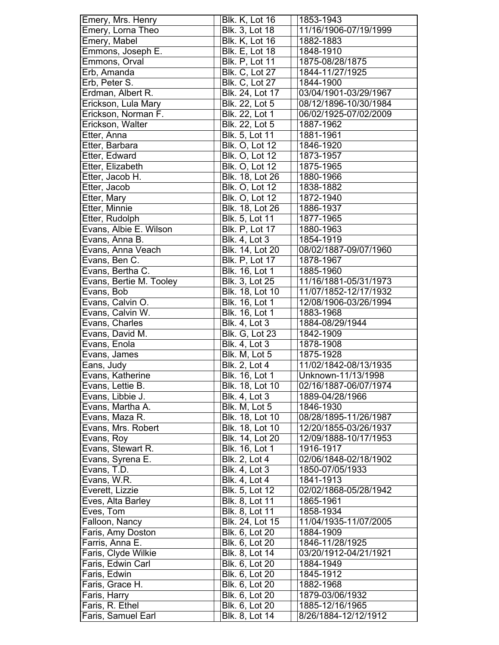| Emery, Mrs. Henry                     | <b>Blk. K, Lot 16</b>            | 1853-1943                               |
|---------------------------------------|----------------------------------|-----------------------------------------|
| Emery, Lorna Theo                     | <b>Blk. 3, Lot 18</b>            | 11/16/1906-07/19/1999                   |
| Emery, Mabel                          | <b>Blk. K, Lot 16</b>            | 1882-1883                               |
| Emmons, Joseph E.                     | <b>Blk. E, Lot 18</b>            | 1848-1910                               |
| Emmons, Orval                         | <b>Blk. P, Lot 11</b>            | 1875-08/28/1875                         |
| Erb, Amanda                           | <b>Blk. C, Lot 27</b>            | 1844-11/27/1925                         |
| Erb, Peter S.                         | <b>Blk. C, Lot 27</b>            | 1844-1900                               |
| Erdman, Albert R.                     | <b>Blk. 24, Lot 17</b>           | 03/04/1901-03/29/1967                   |
| Erickson, Lula Mary                   | Blk. 22, Lot 5                   | 08/12/1896-10/30/1984                   |
| Erickson, Norman F.                   | Blk. 22, Lot 1                   | 06/02/1925-07/02/2009                   |
| Erickson, Walter                      | Blk. 22, Lot 5                   | 1887-1962                               |
| Etter, Anna                           | Blk. 5, Lot 11                   | 1881-1961                               |
|                                       |                                  |                                         |
| Etter, Barbara                        | <b>Blk. O, Lot 12</b>            | 1846-1920                               |
| Etter, Edward                         | <b>Blk. O, Lot 12</b>            | 1873-1957                               |
| Etter, Elizabeth                      | <b>Blk. O, Lot 12</b>            | 1875-1965                               |
| Etter, Jacob H.                       | Blk. 18, Lot 26                  | 1880-1966                               |
| Etter, Jacob                          | <b>Blk. O, Lot 12</b>            | 1838-1882                               |
| Etter, Mary                           | <b>Blk. O, Lot 12</b>            | 1872-1940                               |
| Etter, Minnie                         | Blk. 18, Lot 26                  | 1886-1937                               |
| Etter, Rudolph                        | Blk. 5, Lot 11                   | 1877-1965                               |
| Evans, Albie E. Wilson                | <b>Blk. P, Lot 17</b>            | 1880-1963                               |
| Evans, Anna B.                        | <b>Blk. 4, Lot 3</b>             | 1854-1919                               |
| Evans, Anna Veach                     | Blk. 14, Lot 20                  | 08/02/1887-09/07/1960                   |
| Evans, Ben C.                         | <b>Blk. P, Lot 17</b>            | 1878-1967                               |
| Evans, Bertha C.                      | <b>Blk.</b> 16, Lot 1            | 1885-1960                               |
| Evans, Bertie M. Tooley               | Blk. 3, Lot 25                   | 11/16/1881-05/31/1973                   |
| Evans, Bob                            | Blk. 18, Lot 10                  | 11/07/1852-12/17/1932                   |
| Evans, Calvin O.                      | <b>Blk. 16, Lot 1</b>            | 12/08/1906-03/26/1994                   |
| Evans, Calvin W.                      | <b>Blk.</b> 16, Lot 1            | 1883-1968                               |
|                                       |                                  |                                         |
| Evans, Charles                        | <b>Blk. 4, Lot 3</b>             | 1884-08/29/1944                         |
| Evans, David M.                       | <b>Blk. G, Lot 23</b>            | 1842-1909                               |
| Evans, Enola                          | <b>Blk. 4, Lot 3</b>             | 1878-1908                               |
| Evans, James                          | Blk. M, Lot 5                    | 1875-1928                               |
| Eans, Judy                            | <b>Blk. 2, Lot 4</b>             | 11/02/1842-08/13/1935                   |
| Evans, Katherine                      | Blk. 16, Lot 1                   | Unknown-11/13/1998                      |
| Evans, Lettie B.                      | Blk. 18, Lot 10                  | 02/16/1887-06/07/1974                   |
| Evans, Libbie J.                      | <b>Blk. 4, Lot 3</b>             | 1889-04/28/1966                         |
| Evans, Martha A.                      | Blk. M, Lot 5                    | 1846-1930                               |
| Evans, Maza R.                        | <b>Blk. 18, Lot 10</b>           | 08/28/1895-11/26/1987                   |
| Evans, Mrs. Robert                    | Blk. 18, Lot 10                  | 12/20/1855-03/26/1937                   |
| Evans, Roy                            | <b>Blk. 14, Lot 20</b>           | 12/09/1888-10/17/1953                   |
| Evans, Stewart R.                     | Blk. 16, Lot 1                   | 1916-1917                               |
| Evans, Syrena E.                      | <b>Blk. 2, Lot 4</b>             | 02/06/1848-02/18/1902                   |
| Evans, T.D.                           | <b>Blk. 4, Lot 3</b>             | 1850-07/05/1933                         |
| Evans, W.R.                           | Blk. 4, Lot 4                    | 1841-1913                               |
| Everett, Lizzie                       | <b>Blk. 5, Lot 12</b>            | 02/02/1868-05/28/1942                   |
| Eves, Alta Barley                     | Blk. 8, Lot 11                   | 1865-1961                               |
| Eves, Tom                             | Blk. 8, Lot 11                   | 1858-1934                               |
| Falloon, Nancy                        | Blk. 24, Lot 15                  | 11/04/1935-11/07/2005                   |
| Faris, Amy Doston                     | Blk. 6, Lot 20                   | 1884-1909                               |
| Farris, Anna E.                       | Blk. 6, Lot 20                   | 1846-11/28/1925                         |
| Faris, Clyde Wilkie                   | Blk. 8, Lot 14                   | 03/20/1912-04/21/1921                   |
| Faris, Edwin Carl                     | Blk. 6, Lot 20                   | 1884-1949                               |
| Faris, Edwin                          | Blk. 6, Lot 20                   | 1845-1912                               |
| Faris, Grace H.                       | Blk. 6, Lot 20                   | 1882-1968                               |
| Faris, Harry                          | Blk. 6, Lot 20                   | 1879-03/06/1932                         |
| Faris, R. Ethel<br>Faris, Samuel Earl | Blk. 6, Lot 20<br>Blk. 8, Lot 14 | 1885-12/16/1965<br>8/26/1884-12/12/1912 |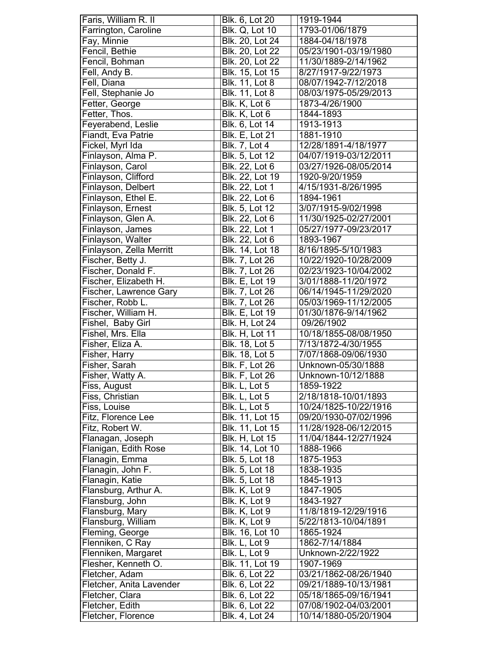| Faris, William R. II                  | Blk. 6, Lot 20                   | 1919-1944                                      |
|---------------------------------------|----------------------------------|------------------------------------------------|
| Farrington, Caroline                  | <b>Blk. Q, Lot 10</b>            | 1793-01/06/1879                                |
| Fay, Minnie                           | Blk. 20, Lot 24                  | 1884-04/18/1978                                |
| Fencil, Bethie                        | Blk. 20, Lot 22                  | 05/23/1901-03/19/1980                          |
| Fencil, Bohman                        | Blk. 20, Lot 22                  | 11/30/1889-2/14/1962                           |
| Fell, Andy B.                         | Blk. 15, Lot 15                  | 8/27/1917-9/22/1973                            |
| Fell, Diana                           | <b>Blk. 11, Lot 8</b>            | 08/07/1942-7/12/2018                           |
| Fell, Stephanie Jo                    | Blk. 11, Lot 8                   | 08/03/1975-05/29/2013                          |
| Fetter, George                        | Blk. K, Lot 6                    | 1873-4/26/1900                                 |
| Fetter, Thos.                         | Blk. K, Lot 6                    | 1844-1893                                      |
| Feyerabend, Leslie                    | Blk. 6, Lot 14                   | 1913-1913                                      |
| Fiandt, Eva Patrie                    | <b>Blk. E, Lot 21</b>            | 1881-1910                                      |
| Fickel, Myrl Ida                      | <b>Blk. 7, Lot 4</b>             | 12/28/1891-4/18/1977                           |
|                                       |                                  |                                                |
| Finlayson, Alma P.                    | Blk. 5, Lot 12                   | 04/07/1919-03/12/2011                          |
| Finlayson, Carol                      | Blk. 22, Lot 6                   | 03/27/1926-08/05/2014                          |
| Finlayson, Clifford                   | Blk. 22, Lot 19                  | 1920-9/20/1959                                 |
| Finlayson, Delbert                    | Blk. 22, Lot 1                   | 4/15/1931-8/26/1995                            |
| Finlayson, Ethel E.                   | Blk. 22, Lot 6                   | 1894-1961                                      |
| Finlayson, Ernest                     | Blk. 5, Lot 12                   | 3/07/1915-9/02/1998                            |
| Finlayson, Glen A.                    | Blk. 22, Lot 6                   | 11/30/1925-02/27/2001                          |
| Finlayson, James                      | Blk. 22, Lot 1                   | 05/27/1977-09/23/2017                          |
| Finlayson, Walter                     | Blk. 22, Lot 6                   | 1893-1967                                      |
| Finlayson, Zella Merritt              | Blk. 14, Lot 18                  | 8/16/1895-5/10/1983                            |
| Fischer, Betty J.                     | Blk. 7, Lot 26                   | 10/22/1920-10/28/2009                          |
| Fischer, Donald F.                    | Blk. 7, Lot 26                   | 02/23/1923-10/04/2002                          |
| Fischer, Elizabeth H.                 | <b>Blk. E, Lot 19</b>            | 3/01/1888-11/20/1972                           |
| Fischer, Lawrence Gary                | Blk. 7, Lot 26                   | 06/14/1945-11/29/2020                          |
| Fischer, Robb L.                      | Blk. 7, Lot 26                   | 05/03/1969-11/12/2005                          |
| Fischer, William H.                   | <b>Blk. E, Lot 19</b>            | 01/30/1876-9/14/1962                           |
|                                       |                                  |                                                |
|                                       |                                  |                                                |
| Fishel, Baby Girl                     | <b>Blk. H, Lot 24</b>            | 09/26/1902                                     |
| Fishel, Mrs. Ella                     | <b>Blk. H, Lot 11</b>            | 10/18/1855-08/08/1950                          |
| Fisher, Eliza A.                      | <b>Blk. 18, Lot 5</b>            | 7/13/1872-4/30/1955                            |
| Fisher, Harry                         | <b>Blk. 18, Lot 5</b>            | 7/07/1868-09/06/1930                           |
| Fisher, Sarah                         | <b>Blk. F, Lot 26</b>            | Unknown-05/30/1888                             |
| Fisher, Watty A.                      | <b>Blk. F, Lot 26</b>            | Unknown-10/12/1888                             |
| Fiss, August                          | Blk. L, Lot 5                    | 1859-1922                                      |
| Fiss, Christian                       | Blk. L, Lot 5                    | 2/18/1818-10/01/1893                           |
| Fiss, Louise                          | Blk. L, Lot 5                    | 10/24/1825-10/22/1916                          |
| Fitz, Florence Lee                    | Blk. 11, Lot 15                  | 09/20/1930-07/02/1996                          |
| Fitz, Robert W.                       | Blk. 11, Lot 15                  | 11/28/1928-06/12/2015                          |
| Flanagan, Joseph                      | <b>Blk. H, Lot 15</b>            | 11/04/1844-12/27/1924                          |
| Flanigan, Edith Rose                  | Blk. 14, Lot 10                  | 1888-1966                                      |
| Flanagin, Emma                        | Blk. 5, Lot 18                   | 1875-1953                                      |
| Flanagin, John F.                     | Blk. 5, Lot 18                   | 1838-1935                                      |
|                                       | Blk. 5, Lot 18                   | 1845-1913                                      |
| Flanagin, Katie                       |                                  |                                                |
| Flansburg, Arthur A.                  | Blk. K, Lot 9                    | 1847-1905                                      |
| Flansburg, John                       | Blk. K, Lot 9                    | 1843-1927                                      |
| Flansburg, Mary                       | Blk. K, Lot 9                    | 11/8/1819-12/29/1916                           |
| Flansburg, William                    | Blk. K, Lot 9                    | 5/22/1813-10/04/1891                           |
| Fleming, George                       | Blk. 16, Lot 10                  | 1865-1924                                      |
| Flenniken, C Ray                      | Blk. L, Lot 9                    | 1862-7/14/1884                                 |
| Flenniken, Margaret                   | Blk. L, Lot 9                    | Unknown-2/22/1922                              |
| Flesher, Kenneth O.                   | Blk. 11, Lot 19                  | 1907-1969                                      |
| Fletcher, Adam                        | Blk. 6, Lot 22                   | 03/21/1862-08/26/1940                          |
| Fletcher, Anita Lavender              | Blk. 6, Lot 22                   | 09/21/1889-10/13/1981                          |
| Fletcher, Clara                       | Blk. 6, Lot 22                   | 05/18/1865-09/16/1941                          |
| Fletcher, Edith<br>Fletcher, Florence | Blk. 6, Lot 22<br>Blk. 4, Lot 24 | 07/08/1902-04/03/2001<br>10/14/1880-05/20/1904 |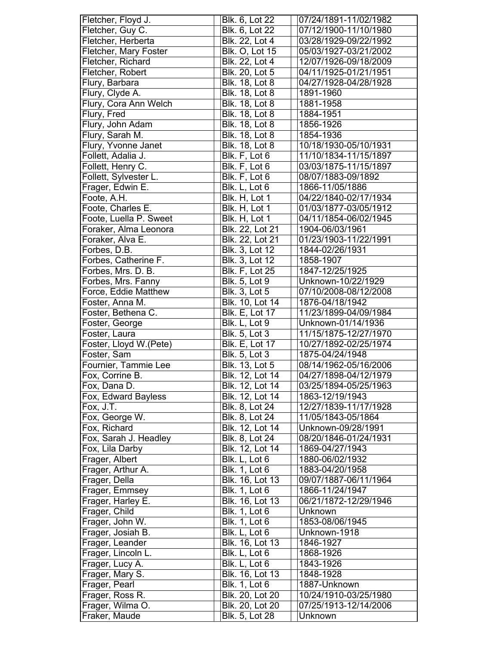| Fletcher, Floyd J.     | Blk. 6, Lot 22        | 07/24/1891-11/02/1982 |
|------------------------|-----------------------|-----------------------|
| Fletcher, Guy C.       | Blk. 6, Lot 22        | 07/12/1900-11/10/1980 |
| Fletcher, Herberta     | Blk. 22, Lot 4        | 03/28/1929-09/22/1992 |
| Fletcher, Mary Foster  | <b>Blk. O, Lot 15</b> | 05/03/1927-03/21/2002 |
| Fletcher, Richard      | Blk. 22, Lot 4        | 12/07/1926-09/18/2009 |
| Fletcher, Robert       | Blk. 20, Lot 5        | 04/11/1925-01/21/1951 |
| Flury, Barbara         | Blk. 18, Lot 8        | 04/27/1928-04/28/1928 |
| Flury, Clyde A.        | Blk. 18, Lot 8        | 1891-1960             |
| Flury, Cora Ann Welch  | Blk. 18, Lot 8        | 1881-1958             |
| Flury, Fred            | Blk. 18, Lot 8        | 1884-1951             |
| Flury, John Adam       | <b>Blk. 18, Lot 8</b> | 1856-1926             |
| Flury, Sarah M.        | Blk. 18, Lot 8        | 1854-1936             |
| Flury, Yvonne Janet    | Blk. 18, Lot 8        | 10/18/1930-05/10/1931 |
| Follett, Adalia J.     | Blk. F, Lot 6         | 11/10/1834-11/15/1897 |
| Follett, Henry C.      | Blk. F, Lot 6         | 03/03/1875-11/15/1897 |
| Follett, Sylvester L.  | Blk. F, Lot 6         | 08/07/1883-09/1892    |
| Frager, Edwin E.       | Blk. L, Lot 6         | 1866-11/05/1886       |
| Foote, A.H.            | Blk. H, Lot 1         | 04/22/1840-02/17/1934 |
| Foote, Charles E.      | Blk. H, Lot 1         | 01/03/1877-03/05/1912 |
| Foote, Luella P. Sweet | Blk. H, Lot 1         | 04/11/1854-06/02/1945 |
| Foraker, Alma Leonora  | Blk. 22, Lot 21       | 1904-06/03/1961       |
| Foraker, Alva E.       | Blk. 22, Lot 21       | 01/23/1903-11/22/1991 |
| Forbes, D.B.           | Blk. 3, Lot 12        | 1844-02/26/1931       |
| Forbes, Catherine F.   | Blk. 3, Lot 12        | 1858-1907             |
| Forbes, Mrs. D. B.     | <b>Blk. F, Lot 25</b> | 1847-12/25/1925       |
| Forbes, Mrs. Fanny     | <b>Blk. 5, Lot 9</b>  | Unknown-10/22/1929    |
| Force, Eddie Matthew   | <b>Blk. 3, Lot 5</b>  | 07/10/2008-08/12/2008 |
| Foster, Anna M.        | Blk. 10, Lot 14       | 1876-04/18/1942       |
| Foster, Bethena C.     | <b>Blk. E, Lot 17</b> | 11/23/1899-04/09/1984 |
| Foster, George         | Blk. L, Lot 9         | Unknown-01/14/1936    |
| Foster, Laura          | Blk. 5, Lot 3         | 11/15/1875-12/27/1970 |
| Foster, Lloyd W.(Pete) | <b>Blk. E, Lot 17</b> | 10/27/1892-02/25/1974 |
| Foster, Sam            | <b>Blk. 5, Lot 3</b>  | 1875-04/24/1948       |
| Fournier, Tammie Lee   | Blk. 13, Lot 5        | 08/14/1962-05/16/2006 |
| Fox, Corrine B.        | Blk. 12, Lot 14       | 04/27/1898-04/12/1979 |
| Fox, Dana D.           | Blk. 12, Lot 14       | 03/25/1894-05/25/1963 |
| Fox, Edward Bayless    | Blk. 12, Lot 14       | 1863-12/19/1943       |
| Fox, J.T.              | Blk. 8, Lot 24        | 12/27/1839-11/17/1928 |
| Fox, George W.         | Blk. 8, Lot 24        | 11/05/1843-05/1864    |
| Fox, Richard           | Blk. 12, Lot 14       | Unknown-09/28/1991    |
| Fox, Sarah J. Headley  | Blk. 8, Lot 24        | 08/20/1846-01/24/1931 |
| Fox, Lila Darby        | Blk. 12, Lot 14       | 1869-04/27/1943       |
| Frager, Albert         | Blk. L, Lot 6         | 1880-06/02/1932       |
| Frager, Arthur A.      | <b>Blk. 1, Lot 6</b>  | 1883-04/20/1958       |
| Frager, Della          | Blk. 16, Lot 13       | 09/07/1887-06/11/1964 |
| Frager, Emmsey         | <b>Blk. 1, Lot 6</b>  | 1866-11/24/1947       |
| Frager, Harley E.      | Blk. 16, Lot 13       | 06/21/1872-12/29/1946 |
| Frager, Child          | <b>Blk. 1, Lot 6</b>  | Unknown               |
| Frager, John W.        | <b>Blk. 1, Lot 6</b>  | 1853-08/06/1945       |
| Frager, Josiah B.      | Blk. L, Lot 6         | Unknown-1918          |
| Frager, Leander        | Blk. 16, Lot 13       | 1846-1927             |
| Frager, Lincoln L.     | Blk. L, Lot 6         | 1868-1926             |
| Frager, Lucy A.        | Blk. L, Lot 6         | 1843-1926             |
| Frager, Mary S.        | Blk. 16, Lot 13       | 1848-1928             |
| Frager, Pearl          | <b>Blk. 1, Lot 6</b>  | 1887-Unknown          |
| Frager, Ross R.        | Blk. 20, Lot 20       | 10/24/1910-03/25/1980 |
| Frager, Wilma O.       | Blk. 20, Lot 20       | 07/25/1913-12/14/2006 |
| Fraker, Maude          | Blk. 5, Lot 28        | Unknown               |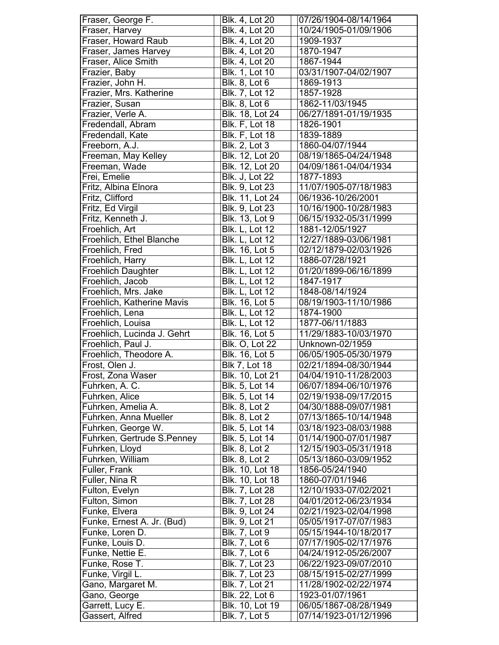| Fraser, George F.           | Blk. 4, Lot 20        | 07/26/1904-08/14/1964 |
|-----------------------------|-----------------------|-----------------------|
| Fraser, Harvey              | Blk. 4, Lot 20        | 10/24/1905-01/09/1906 |
| Fraser, Howard Raub         | Blk. 4, Lot 20        | 1909-1937             |
| Fraser, James Harvey        | Blk. 4, Lot 20        | 1870-1947             |
| Fraser, Alice Smith         | Blk. 4, Lot 20        | 1867-1944             |
| Frazier, Baby               | Blk. 1, Lot 10        | 03/31/1907-04/02/1907 |
| Frazier, John H.            | <b>Blk. 8, Lot 6</b>  | 1869-1913             |
| Frazier, Mrs. Katherine     | Blk. 7, Lot 12        | 1857-1928             |
| Frazier, Susan              | Blk. 8, Lot 6         | 1862-11/03/1945       |
| Frazier, Verle A.           | Blk. 18, Lot 24       | 06/27/1891-01/19/1935 |
| Fredendall, Abram           | <b>Blk. F, Lot 18</b> | 1826-1901             |
| Fredendall, Kate            | <b>Blk.</b> F, Lot 18 | 1839-1889             |
| Freeborn, A.J.              | <b>Blk. 2, Lot 3</b>  | 1860-04/07/1944       |
| Freeman, May Kelley         | Blk. 12, Lot 20       | 08/19/1865-04/24/1948 |
| Freeman, Wade               | Blk. 12, Lot 20       | 04/09/1861-04/04/1934 |
| Frei, Emelie                | Blk. J, Lot 22        | 1877-1893             |
| Fritz, Albina Elnora        | Blk. 9, Lot 23        | 11/07/1905-07/18/1983 |
| Fritz, Clifford             | Blk. 11, Lot 24       | 06/1936-10/26/2001    |
| Fritz, Ed Virgil            | Blk. 9, Lot 23        | 10/16/1900-10/28/1983 |
| Fritz, Kenneth J.           | Blk. 13, Lot 9        | 06/15/1932-05/31/1999 |
| Froehlich, Art              | <b>Blk. L, Lot 12</b> | 1881-12/05/1927       |
| Froehlich, Ethel Blanche    | <b>Blk. L, Lot 12</b> | 12/27/1889-03/06/1981 |
| Froehlich, Fred             | Blk. 16, Lot 5        | 02/12/1879-02/03/1926 |
| Froehlich, Harry            | <b>Blk. L, Lot 12</b> | 1886-07/28/1921       |
| <b>Froehlich Daughter</b>   | <b>Blk. L, Lot 12</b> | 01/20/1899-06/16/1899 |
| Froehlich, Jacob            | <b>Blk. L, Lot 12</b> | 1847-1917             |
| Froehlich, Mrs. Jake        | <b>Blk. L, Lot 12</b> | 1848-08/14/1924       |
| Froehlich, Katherine Mavis  | Blk. 16, Lot 5        | 08/19/1903-11/10/1986 |
| Froehlich, Lena             | <b>Blk. L, Lot 12</b> | 1874-1900             |
| Froehlich, Louisa           | <b>Blk. L, Lot 12</b> | 1877-06/11/1883       |
| Froehlich, Lucinda J. Gehrt | Blk. 16, Lot 5        | 11/29/1883-10/03/1970 |
| Froehlich, Paul J.          | <b>Blk. O, Lot 22</b> | Unknown-02/1959       |
| Froehlich, Theodore A.      | <b>Blk. 16, Lot 5</b> | 06/05/1905-05/30/1979 |
| Frost, Olen J.              | <b>Blk 7, Lot 18</b>  | 02/21/1894-08/30/1944 |
| Frost, Zona Waser           | Blk. 10, Lot 21       | 04/04/1910-11/28/2003 |
| Fuhrken, A. C.              | Blk. 5, Lot 14        | 06/07/1894-06/10/1976 |
| Fuhrken, Alice              | Blk. 5, Lot 14        | 02/19/1938-09/17/2015 |
| Fuhrken, Amelia A.          | Blk. 8, Lot 2         | 04/30/1888-09/07/1981 |
| Fuhrken, Anna Mueller       | <b>Blk. 8, Lot 2</b>  | 07/13/1865-10/14/1948 |
| Fuhrken, George W.          | Blk. 5, Lot 14        | 03/18/1923-08/03/1988 |
| Fuhrken, Gertrude S.Penney  | Blk. 5, Lot 14        | 01/14/1900-07/01/1987 |
| Fuhrken, Lloyd              | Blk. 8, Lot 2         | 12/15/1903-05/31/1918 |
| Fuhrken, William            | <b>Blk. 8, Lot 2</b>  | 05/13/1860-03/09/1952 |
| Fuller, Frank               | Blk. 10, Lot 18       | 1856-05/24/1940       |
| Fuller, Nina R              | Blk. 10, Lot 18       | 1860-07/01/1946       |
| Fulton, Evelyn              | Blk. 7, Lot 28        | 12/10/1933-07/02/2021 |
| Fulton, Simon               | Blk. 7, Lot 28        | 04/01/2012-06/23/1934 |
| Funke, Elvera               | Blk. 9, Lot 24        | 02/21/1923-02/04/1998 |
| Funke, Ernest A. Jr. (Bud)  | Blk. 9, Lot 21        | 05/05/1917-07/07/1983 |
| Funke, Loren D.             | <b>Blk. 7, Lot 9</b>  | 05/15/1944-10/18/2017 |
| Funke, Louis D.             | <b>Blk. 7, Lot 6</b>  | 07/17/1905-02/17/1976 |
| Funke, Nettie E.            | <b>Blk. 7, Lot 6</b>  | 04/24/1912-05/26/2007 |
| Funke, Rose T.              | Blk. 7, Lot 23        | 06/22/1923-09/07/2010 |
| Funke, Virgil L.            | Blk. 7, Lot 23        | 08/15/1915-02/27/1999 |
| Gano, Margaret M.           | Blk. 7, Lot 21        | 11/28/1902-02/22/1974 |
| Gano, George                | Blk. 22, Lot 6        | 1923-01/07/1961       |
| Garrett, Lucy E.            | Blk. 10, Lot 19       | 06/05/1867-08/28/1949 |
| Gassert, Alfred             | <b>Blk. 7, Lot 5</b>  | 07/14/1923-01/12/1996 |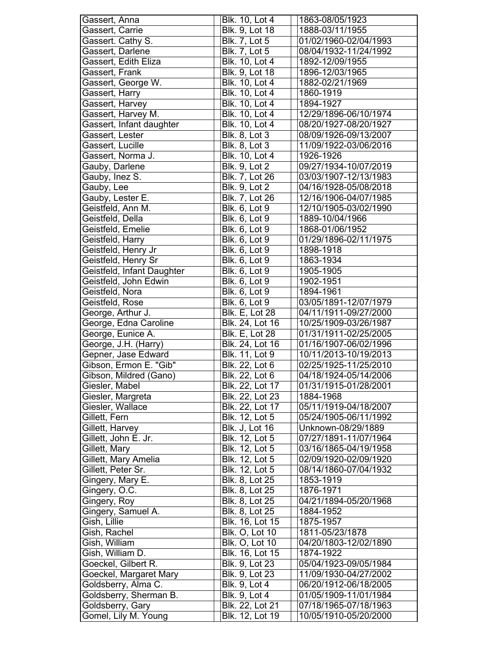| Gassert, Anna              | Blk. 10, Lot 4         | 1863-08/05/1923       |
|----------------------------|------------------------|-----------------------|
| Gassert, Carrie            | Blk. 9, Lot 18         | 1888-03/11/1955       |
| Gassert. Cathy S.          | <b>Blk. 7, Lot 5</b>   | 01/02/1960-02/04/1993 |
| Gassert, Darlene           | <b>Blk. 7, Lot 5</b>   | 08/04/1932-11/24/1992 |
| Gassert, Edith Eliza       | Blk. 10, Lot 4         | 1892-12/09/1955       |
| Gassert, Frank             | Blk. 9, Lot 18         | 1896-12/03/1965       |
| Gassert, George W.         | Blk. 10, Lot 4         | 1882-02/21/1969       |
| Gassert, Harry             | Blk. 10, Lot 4         | 1860-1919             |
| Gassert, Harvey            | Blk. 10, Lot 4         | 1894-1927             |
| Gassert, Harvey M.         | <b>Blk. 10, Lot 4</b>  | 12/29/1896-06/10/1974 |
| Gassert, Infant daughter   | <b>Blk. 10, Lot 4</b>  | 08/20/1927-08/20/1927 |
| Gassert, Lester            | <b>Blk. 8, Lot 3</b>   | 08/09/1926-09/13/2007 |
| Gassert, Lucille           | <b>Blk. 8, Lot 3</b>   | 11/09/1922-03/06/2016 |
| Gassert, Norma J.          | Blk. 10, Lot 4         | 1926-1926             |
|                            | <b>Blk. 9, Lot 2</b>   | 09/27/1934-10/07/2019 |
| Gauby, Darlene             |                        | 03/03/1907-12/13/1983 |
| Gauby, Inez S.             | Blk. 7, Lot 26         |                       |
| Gauby, Lee                 | <b>Blk. 9, Lot 2</b>   | 04/16/1928-05/08/2018 |
| Gauby, Lester E.           | Blk. 7, Lot 26         | 12/16/1906-04/07/1985 |
| Geistfeld, Ann M.          | <b>Blk. 6, Lot 9</b>   | 12/10/1905-03/02/1990 |
| Geistfeld, Della           | Blk. 6, Lot 9          | 1889-10/04/1966       |
| Geistfeld, Emelie          | <b>Blk. 6, Lot 9</b>   | 1868-01/06/1952       |
| Geistfeld, Harry           | <b>Blk. 6, Lot 9</b>   | 01/29/1896-02/11/1975 |
| Geistfeld, Henry Jr        | <b>Blk. 6, Lot 9</b>   | 1898-1918             |
| Geistfeld, Henry Sr        | <b>Blk. 6, Lot 9</b>   | 1863-1934             |
| Geistfeld, Infant Daughter | <b>Blk. 6, Lot 9</b>   | 1905-1905             |
| Geistfeld, John Edwin      | <b>Blk. 6, Lot 9</b>   | 1902-1951             |
| Geistfeld, Nora            | <b>Blk. 6, Lot 9</b>   | 1894-1961             |
| Geistfeld, Rose            | <b>Blk. 6, Lot 9</b>   | 03/05/1891-12/07/1979 |
| George, Arthur J.          | <b>Blk. E, Lot 28</b>  | 04/11/1911-09/27/2000 |
| George, Edna Caroline      | Blk. 24, Lot 16        | 10/25/1909-03/26/1987 |
| George, Eunice A.          | <b>Blk. E, Lot 28</b>  | 01/31/1911-02/25/2005 |
| George, J.H. (Harry)       | Blk. 24, Lot 16        | 01/16/1907-06/02/1996 |
| Gepner, Jase Edward        | Blk. 11, Lot 9         | 10/11/2013-10/19/2013 |
| Gibson, Ermon E. "Gib"     | Blk. 22, Lot 6         | 02/25/1925-11/25/2010 |
| Gibson, Mildred (Gano)     | <b>Blk. 22, Lot 6</b>  | 04/18/1924-05/14/2006 |
| Giesler, Mabel             | Blk. 22, Lot 17        | 01/31/1915-01/28/2001 |
| Giesler, Margreta          | Blk. 22, Lot 23        | 1884-1968             |
| Giesler, Wallace           | Blk. 22, Lot 17        | 05/11/1919-04/18/2007 |
| Gillett, Fern              | Blk. 12, Lot 5         | 05/24/1905-06/11/1992 |
| Gillett, Harvey            | <b>Blk. J, Lot 16</b>  | Unknown-08/29/1889    |
| Gillett, John E. Jr.       | Blk. 12, Lot 5         | 07/27/1891-11/07/1964 |
| Gillett, Mary              | Blk. 12, Lot 5         | 03/16/1865-04/19/1958 |
| Gillett, Mary Amelia       | Blk. 12, Lot 5         | 02/09/1920-02/09/1920 |
| Gillett, Peter Sr.         | Blk. 12, Lot 5         | 08/14/1860-07/04/1932 |
| Gingery, Mary E.           | Blk. 8, Lot 25         | 1853-1919             |
| Gingery, O.C.              | Blk. 8, Lot 25         | 1876-1971             |
| Gingery, Roy               | Blk. 8, Lot 25         | 04/21/1894-05/20/1968 |
| Gingery, Samuel A.         | Blk. 8, Lot 25         | 1884-1952             |
| Gish, Lillie               | Blk. 16, Lot 15        | 1875-1957             |
| Gish, Rachel               | <b>Blk. O, Lot 10</b>  | 1811-05/23/1878       |
|                            |                        |                       |
| Gish, William              | <b>Blk. O, Lot 10</b>  | 04/20/1803-12/02/1890 |
| Gish, William D.           | Blk. 16, Lot 15        | 1874-1922             |
| Goeckel, Gilbert R.        | Blk. 9, Lot 23         | 05/04/1923-09/05/1984 |
| Goeckel, Margaret Mary     | <b>Blk. 9, Lot 23</b>  | 11/09/1930-04/27/2002 |
| Goldsberry, Alma C.        | <b>Blk.</b> 9, Lot 4   | 06/20/1912-06/18/2005 |
| Goldsberry, Sherman B.     | Blk. 9, Lot 4          | 01/05/1909-11/01/1984 |
| Goldsberry, Gary           | Blk. 22, Lot 21        | 07/18/1965-07/18/1963 |
| Gomel, Lily M. Young       | <b>Blk. 12, Lot 19</b> | 10/05/1910-05/20/2000 |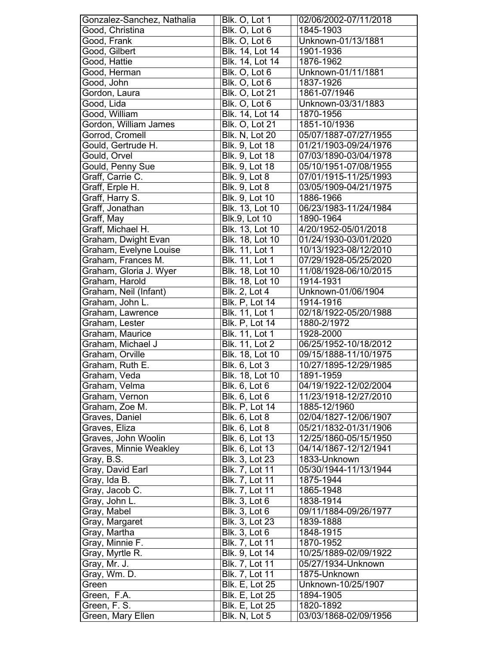| Gonzalez-Sanchez, Nathalia | Blk. O, Lot 1          | 02/06/2002-07/11/2018 |
|----------------------------|------------------------|-----------------------|
| Good, Christina            | Blk. O, Lot 6          | 1845-1903             |
| Good, Frank                | Blk. O, Lot 6          | Unknown-01/13/1881    |
| Good, Gilbert              | Blk. 14, Lot 14        | 1901-1936             |
| Good, Hattie               | <b>Blk.</b> 14, Lot 14 | 1876-1962             |
| Good, Herman               | Blk. O, Lot 6          | Unknown-01/11/1881    |
| Good, John                 | Blk. O, Lot 6          | 1837-1926             |
| Gordon, Laura              | <b>Blk. O, Lot 21</b>  | 1861-07/1946          |
| Good, Lida                 | Blk. O, Lot 6          | Unknown-03/31/1883    |
| Good, William              | Blk. 14, Lot 14        | 1870-1956             |
| Gordon, William James      | <b>Blk. O, Lot 21</b>  | 1851-10/1936          |
| Gorrod, Cromell            | Blk. N, Lot 20         | 05/07/1887-07/27/1955 |
| Gould, Gertrude H.         |                        | 01/21/1903-09/24/1976 |
|                            | Blk. 9, Lot 18         |                       |
| Gould, Orvel               | Blk. 9, Lot 18         | 07/03/1890-03/04/1978 |
| Gould, Penny Sue           | Blk. 9, Lot 18         | 05/10/1951-07/08/1955 |
| Graff, Carrie C.           | Blk. 9, Lot 8          | 07/01/1915-11/25/1993 |
| Graff, Erple H.            | <b>Blk.</b> 9, Lot 8   | 03/05/1909-04/21/1975 |
| Graff, Harry S.            | <b>Blk. 9, Lot 10</b>  | 1886-1966             |
| Graff, Jonathan            | Blk. 13, Lot 10        | 06/23/1983-11/24/1984 |
| Graff, May                 | <b>Blk.9, Lot 10</b>   | 1890-1964             |
| Graff, Michael H.          | Blk. 13, Lot 10        | 4/20/1952-05/01/2018  |
| Graham, Dwight Evan        | Blk. 18, Lot 10        | 01/24/1930-03/01/2020 |
| Graham, Evelyne Louise     | Blk. 11, Lot 1         | 10/13/1923-08/12/2010 |
| Graham, Frances M.         | Blk. 11, Lot 1         | 07/29/1928-05/25/2020 |
| Graham, Gloria J. Wyer     | <b>Blk. 18, Lot 10</b> | 11/08/1928-06/10/2015 |
| Graham, Harold             | <b>Blk. 18, Lot 10</b> | 1914-1931             |
| Graham, Neil (Infant)      | <b>Blk. 2, Lot 4</b>   | Unknown-01/06/1904    |
| Graham, John L.            | <b>Blk. P, Lot 14</b>  | 1914-1916             |
| Graham, Lawrence           | <b>Blk. 11, Lot 1</b>  | 02/18/1922-05/20/1988 |
| Graham, Lester             | <b>Blk. P, Lot 14</b>  | 1880-2/1972           |
| Graham, Maurice            | Blk. 11, Lot 1         | 1928-2000             |
| Graham, Michael J          | Blk. 11, Lot 2         | 06/25/1952-10/18/2012 |
| Graham, Orville            | <b>Blk. 18, Lot 10</b> | 09/15/1888-11/10/1975 |
| Graham, Ruth E.            | <b>Blk. 6, Lot 3</b>   | 10/27/1895-12/29/1985 |
| Graham, Veda               | Blk. 18, Lot 10        | 1891-1959             |
| Graham, Velma              | Blk. 6, Lot 6          | 04/19/1922-12/02/2004 |
| Graham, Vernon             | <b>Bik. 6, Lot 6</b>   | 11/23/1918-12/27/2010 |
| Graham, Zoe M.             | <b>Blk. P, Lot 14</b>  | 1885-12/1960          |
| Graves, Daniel             | <b>Blk. 6, Lot 8</b>   | 02/04/1827-12/06/1907 |
| Graves, Eliza              | <b>Blk. 6, Lot 8</b>   | 05/21/1832-01/31/1906 |
| Graves, John Woolin        | Blk. 6, Lot 13         | 12/25/1860-05/15/1950 |
| Graves, Minnie Weakley     | Blk. 6, Lot 13         | 04/14/1867-12/12/1941 |
| Gray, B.S.                 | Blk. 3, Lot 23         | 1833-Unknown          |
| Gray, David Earl           | Blk. 7, Lot 11         | 05/30/1944-11/13/1944 |
| Gray, Ida B.               | Blk. 7, Lot 11         | 1875-1944             |
| Gray, Jacob C.             | Blk. 7, Lot 11         | 1865-1948             |
| Gray, John L.              | <b>Blk. 3, Lot 6</b>   | 1838-1914             |
| Gray, Mabel                | Blk. 3, Lot 6          | 09/11/1884-09/26/1977 |
|                            | Blk. 3, Lot 23         | 1839-1888             |
| Gray, Margaret             |                        |                       |
| Gray, Martha               | <b>Blk. 3, Lot 6</b>   | 1848-1915             |
| Gray, Minnie F.            | Blk. 7, Lot 11         | 1870-1952             |
| Gray, Myrtle R.            | Blk. 9, Lot 14         | 10/25/1889-02/09/1922 |
| Gray, Mr. J.               | Blk. 7, Lot 11         | 05/27/1934-Unknown    |
| Gray, Wm. D.               | Blk. 7, Lot 11         | 1875-Unknown          |
| Green                      | <b>Blk. E, Lot 25</b>  | Unknown-10/25/1907    |
| Green, F.A.                | <b>Blk. E, Lot 25</b>  | 1894-1905             |
| Green, F. S.               | <b>Blk. E, Lot 25</b>  | 1820-1892             |
| Green, Mary Ellen          | Blk. N, Lot 5          | 03/03/1868-02/09/1956 |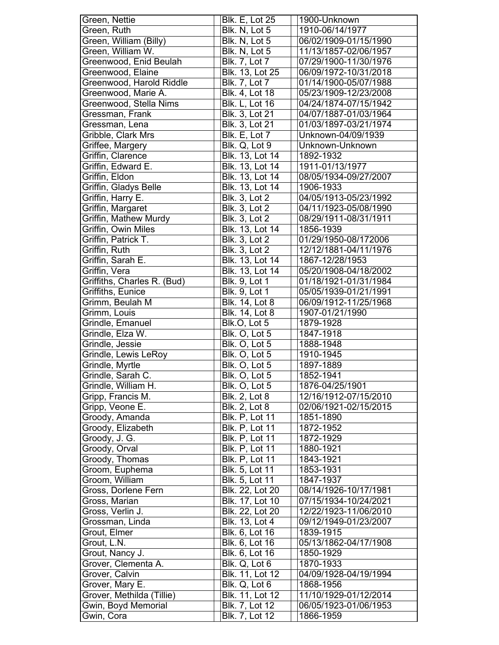| Green, Nettie               | <b>Blk. E, Lot 25</b>  | 1900-Unknown          |
|-----------------------------|------------------------|-----------------------|
| Green, Ruth                 | Blk. N, Lot 5          | 1910-06/14/1977       |
| Green, William (Billy)      | Blk. N, Lot 5          | 06/02/1909-01/15/1990 |
| Green, William W.           | Blk. N, Lot 5          | 11/13/1857-02/06/1957 |
| Greenwood, Enid Beulah      | <b>Blk. 7, Lot 7</b>   | 07/29/1900-11/30/1976 |
| Greenwood, Elaine           | Blk. 13, Lot 25        | 06/09/1972-10/31/2018 |
| Greenwood, Harold Riddle    | <b>Blk.</b> 7, Lot 7   | 01/14/1900-05/07/1988 |
| Greenwood, Marie A.         | <b>Blk. 4, Lot 18</b>  | 05/23/1909-12/23/2008 |
| Greenwood, Stella Nims      | <b>Blk. L, Lot 16</b>  | 04/24/1874-07/15/1942 |
| Gressman, Frank             | Blk. 3, Lot 21         | 04/07/1887-01/03/1964 |
| Gressman, Lena              | Blk. 3, Lot 21         | 01/03/1897-03/21/1974 |
| Gribble, Clark Mrs          | Blk. E, Lot 7          | Unknown-04/09/1939    |
| Griffee, Margery            | Blk. Q, Lot 9          | Unknown-Unknown       |
| Griffin, Clarence           | Blk. 13, Lot 14        | 1892-1932             |
| Griffin, Edward E.          | Blk. 13, Lot 14        | 1911-01/13/1977       |
| Griffin, Eldon              | <b>Blk. 13, Lot 14</b> | 08/05/1934-09/27/2007 |
| Griffin, Gladys Belle       | Blk. 13, Lot 14        | 1906-1933             |
| Griffin, Harry E.           | <b>Blk. 3, Lot 2</b>   | 04/05/1913-05/23/1992 |
| Griffin, Margaret           | <b>Blk. 3, Lot 2</b>   | 04/11/1923-05/08/1990 |
| Griffin, Mathew Murdy       | <b>Blk. 3, Lot 2</b>   | 08/29/1911-08/31/1911 |
| Griffin, Owin Miles         | Blk. 13, Lot 14        | 1856-1939             |
| Griffin, Patrick T.         | <b>Blk. 3, Lot 2</b>   | 01/29/1950-08/172006  |
| Griffin, Ruth               | <b>Blk. 3, Lot 2</b>   | 12/12/1881-04/11/1976 |
| Griffin, Sarah E.           | Blk. 13, Lot 14        | 1867-12/28/1953       |
| Griffin, Vera               | <b>Blk. 13, Lot 14</b> | 05/20/1908-04/18/2002 |
| Griffiths, Charles R. (Bud) | <b>Blk. 9, Lot 1</b>   | 01/18/1921-01/31/1984 |
|                             | <b>Blk. 9, Lot 1</b>   |                       |
| Griffiths, Eunice           |                        | 05/05/1939-01/21/1991 |
| Grimm, Beulah M             | <b>Blk. 14, Lot 8</b>  | 06/09/1912-11/25/1968 |
| Grimm, Louis                | <b>Blk. 14, Lot 8</b>  | 1907-01/21/1990       |
|                             |                        |                       |
| Grindle, Emanuel            | Blk.O, Lot 5           | 1879-1928             |
| Grindle, Elza W.            | Blk. O. Lot 5          | 1847-1918             |
| Grindle, Jessie             | Blk. O, Lot 5          | 1888-1948             |
| Grindle, Lewis LeRoy        | Blk. O, Lot 5          | 1910-1945             |
| Grindle, Myrtle             | Blk. O, Lot 5          | 1897-1889             |
| Grindle, Sarah C.           | Blk. O, Lot 5          | 1852-1941             |
| Grindle, William H.         | Blk. O, Lot 5          | 1876-04/25/1901       |
| Gripp, Francis M.           | <b>Blk. 2, Lot 8</b>   | 12/16/1912-07/15/2010 |
| Gripp, Veone E.             | <b>Bik. 2, Lot 8</b>   | 02/06/1921-02/15/2015 |
| Groody, Amanda              | <b>Blk. P, Lot 11</b>  | 1851-1890             |
| Groody, Elizabeth           | <b>Blk. P, Lot 11</b>  | 1872-1952             |
| Groody, J. G.               | <b>Blk. P, Lot 11</b>  | 1872-1929             |
| Groody, Orval               | <b>Blk. P, Lot 11</b>  | 1880-1921             |
| Groody, Thomas              | Blk. P, Lot 11         | 1843-1921             |
| Groom, Euphema              | Blk. 5, Lot 11         | 1853-1931             |
| Groom, William              | Blk. 5, Lot 11         | 1847-1937             |
| Gross, Dorlene Fern         | Blk. 22, Lot 20        | 08/14/1926-10/17/1981 |
| Gross, Marian               | Blk. 17, Lot 10        | 07/15/1934-10/24/2021 |
| Gross, Verlin J.            | Blk. 22, Lot 20        | 12/22/1923-11/06/2010 |
| Grossman, Linda             | Blk. 13, Lot 4         | 09/12/1949-01/23/2007 |
| Grout, Elmer                | Blk. 6, Lot 16         | 1839-1915             |
| Grout, L.N.                 | Blk. 6, Lot 16         | 05/13/1862-04/17/1908 |
| Grout, Nancy J.             | Blk. 6, Lot 16         | 1850-1929             |
| Grover, Clementa A.         | Blk. Q, Lot 6          | 1870-1933             |
| Grover, Calvin              | Blk. 11, Lot 12        | 04/09/1928-04/19/1994 |
| Grover, Mary E.             | Blk. Q, Lot 6          | 1868-1956             |
| Grover, Methilda (Tillie)   | Blk. 11, Lot 12        | 11/10/1929-01/12/2014 |
| Gwin, Boyd Memorial         | <b>Blk. 7, Lot 12</b>  | 06/05/1923-01/06/1953 |